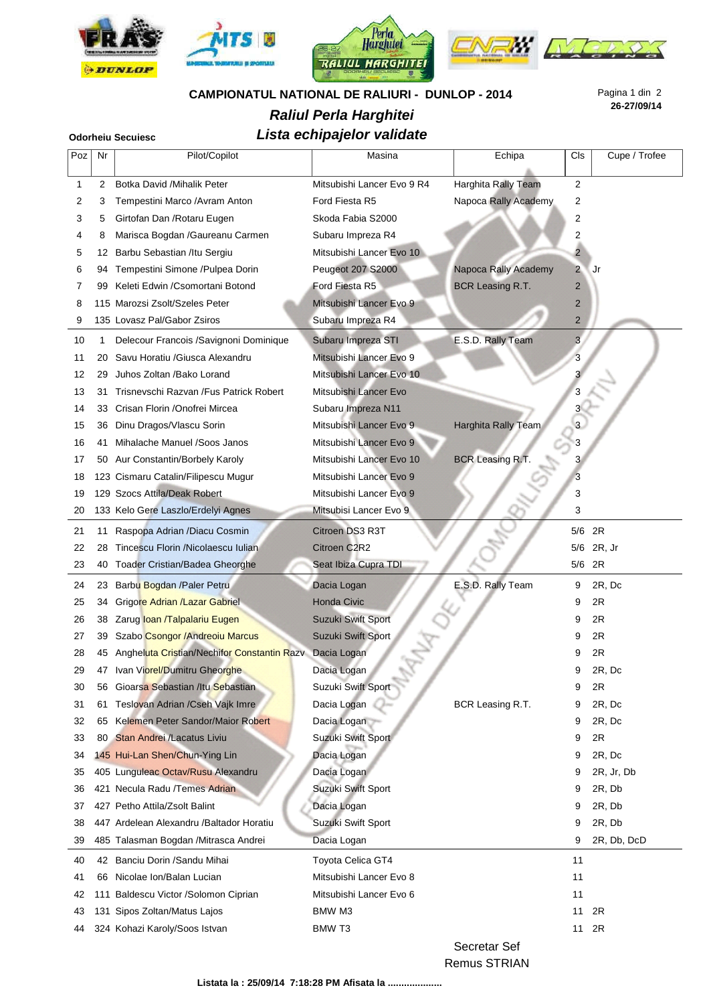

## **CAMPIONATUL NATIONAL DE RALIURI - DUNLOP - 2014**

## **Raliul Perla Harghitei**

# **Lista echipajelor validate Odorheiu Secuiesc**

**26-27/09/14** Pagina 1 din 2

| Poz | Nr  | Pilot/Copilot                               | Masina                     | Echipa                  | Cls            | Cupe / Trofee |
|-----|-----|---------------------------------------------|----------------------------|-------------------------|----------------|---------------|
| 1   | 2   | Botka David /Mihalik Peter                  | Mitsubishi Lancer Evo 9 R4 | Harghita Rally Team     | 2              |               |
| 2   | 3   | Tempestini Marco /Avram Anton               | Ford Fiesta R5             | Napoca Rally Academy    | 2              |               |
| 3   | 5   | Girtofan Dan / Rotaru Eugen                 | Skoda Fabia S2000          |                         | 2              |               |
| 4   | 8   | Marisca Bogdan / Gaureanu Carmen            | Subaru Impreza R4          |                         | 2              |               |
| 5   | 12  | Barbu Sebastian /Itu Sergiu                 | Mitsubishi Lancer Evo 10   |                         | $\overline{2}$ |               |
| 6   | 94  | Tempestini Simone /Pulpea Dorin             | Peugeot 207 S2000          | Napoca Rally Academy    | $\overline{2}$ | Jr            |
| 7   | 99  | Keleti Edwin / Csomortani Botond            | Ford Fiesta R5             | <b>BCR Leasing R.T.</b> | 2              |               |
| 8   |     | 115 Marozsi Zsolt/Szeles Peter              | Mitsubishi Lancer Evo 9    |                         | $\overline{2}$ |               |
| 9   |     | 135 Lovasz Pal/Gabor Zsiros                 | Subaru Impreza R4          |                         | $\overline{2}$ |               |
| 10  | 1   | Delecour Francois /Savignoni Dominique      | Subaru Impreza STI         | E.S.D. Rally Team       | 3              |               |
| 11  | 20  | Savu Horatiu / Giusca Alexandru             | Mitsubishi Lancer Evo 9    |                         | 3              |               |
| 12  | 29  | Juhos Zoltan / Bako Lorand                  | Mitsubishi Lancer Evo 10   |                         | 3              |               |
| 13  | 31  | Trisnevschi Razvan / Fus Patrick Robert     | Mitsubishi Lancer Evo      |                         | 3              |               |
| 14  | 33  | Crisan Florin / Onofrei Mircea              | Subaru Impreza N11         |                         |                |               |
| 15  | 36  | Dinu Dragos/Vlascu Sorin                    | Mitsubishi Lancer Evo 9    | Harghita Rally Team     | $\overline{3}$ |               |
| 16  | 41  | Mihalache Manuel / Soos Janos               | Mitsubishi Lancer Evo 9    |                         | 3              |               |
| 17  | 50  | Aur Constantin/Borbely Karoly               | Mitsubishi Lancer Evo 10   | <b>BCR Leasing R.T.</b> | $\mathbf{3}$   |               |
| 18  |     | 123 Cismaru Catalin/Filipescu Mugur         | Mitsubishi Lancer Evo 9    |                         | 3              |               |
| 19  |     | 129 Szocs Attila/Deak Robert                | Mitsubishi Lancer Evo 9    |                         | 3              |               |
| 20  |     | 133 Kelo Gere Laszlo/Erdelyi Agnes          | Mitsubisi Lancer Evo 9     |                         | 3              |               |
| 21  | 11  | Raspopa Adrian /Diacu Cosmin                | Citroen DS3 R3T            |                         | 5/6 2R         |               |
| 22  | 28  | Tincescu Florin /Nicolaescu Iulian          | Citroen C2R2               |                         | 5/6            | 2R, Jr        |
| 23  | 40  | <b>Toader Cristian/Badea Gheorghe</b>       | Seat Ibiza Cupra TDI       |                         | 5/6            | 2R            |
| 24  | 23  | Barbu Bogdan / Paler Petru                  | Dacia Logan                | E.S.D. Rally Team       | 9              | 2R, Dc        |
| 25  | 34  | Grigore Adrian /Lazar Gabriel               | <b>Honda Civic</b>         |                         | 9              | 2R            |
| 26  | 38  | Zarug loan /Talpalariu Eugen                | Suzuki Swift Sport         |                         | 9              | 2R            |
| 27  | 39  | Szabo Csongor / Andreoiu Marcus             | Suzuki Swift Sport         |                         | 9              | 2R            |
| 28  | 45  | Angheluta Cristian/Nechifor Constantin Razv | Dacia Logan                |                         | 9              | 2R            |
| 29  |     | 47 Ivan Viorel/Dumitru Gheorghe             | Dacia Logan                |                         | 9              | 2R, Dc        |
| 30  | 56  | Gioarsa Sebastian /Itu Sebastian            | Suzuki Swift Sport         |                         | 9              | 2R            |
| 31  | 61  | Teslovan Adrian / Cseh Vajk Imre            | Dacia Logan                | BCR Leasing R.T.        | 9              | 2R, Dc        |
| 32  | 65  | Kelemen Peter Sandor/Maior Robert           | Dacia Logan                |                         | 9              | 2R, Dc        |
| 33  | 80. | <b>Stan Andrei /Lacatus Liviu</b>           | Suzuki Swift Sport         |                         | 9              | 2R            |
| 34  |     | 145 Hui-Lan Shen/Chun-Ying Lin              | Dacia Logan                |                         | 9              | 2R, Dc        |
| 35  |     | 405 Lunguleac Octav/Rusu Alexandru          | Dacia Logan                |                         | 9              | 2R, Jr, Db    |
| 36  |     | 421 Necula Radu / Temes Adrian              | Suzuki Swift Sport         |                         | 9              | 2R, Db        |
| 37  |     | 427 Petho Attila/Zsolt Balint               | Dacia Logan                |                         | 9              | 2R, Db        |
| 38  |     | 447 Ardelean Alexandru / Baltador Horatiu   | Suzuki Swift Sport         |                         | 9              | 2R, Db        |
| 39  |     | 485 Talasman Bogdan / Mitrasca Andrei       | Dacia Logan                |                         | 9              | 2R, Db, DcD   |
| 40  |     | 42 Banciu Dorin / Sandu Mihai               | Toyota Celica GT4          |                         | 11             |               |
| 41  | 66  | Nicolae Ion/Balan Lucian                    | Mitsubishi Lancer Evo 8    |                         | 11             |               |
| 42  |     | 111 Baldescu Victor / Solomon Ciprian       | Mitsubishi Lancer Evo 6    |                         | 11             |               |
| 43  |     | 131 Sipos Zoltan/Matus Lajos                | BMW M3                     |                         | 11             | 2R            |
| 44  |     | 324 Kohazi Karoly/Soos Istvan               | <b>BMW T3</b>              |                         | 11             | 2R            |

Secretar Sef

Remus STRIAN